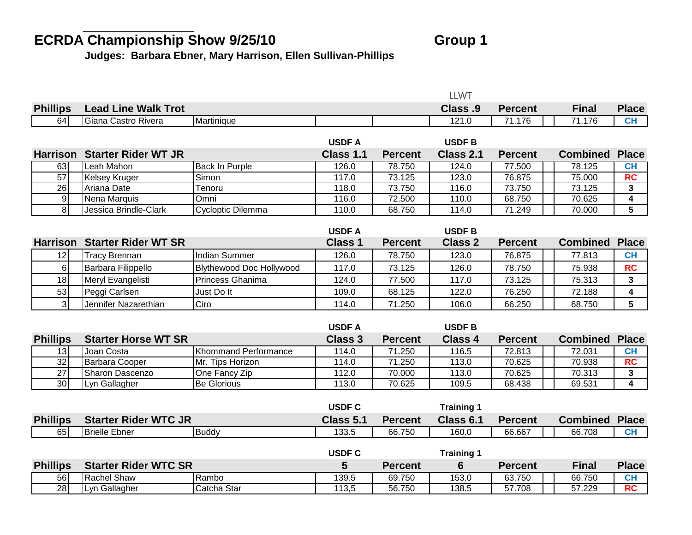## ECRDA Championship Show 9/25/10 **Group 1**

**Judges: Barbara Ebner, Mary Harrison, Ellen Sullivan-Phillips**

|                 |                                     |                                 |                |                | <b>LLWT</b>       |                |                 |                         |
|-----------------|-------------------------------------|---------------------------------|----------------|----------------|-------------------|----------------|-----------------|-------------------------|
| <b>Phillips</b> | <b>Lead Line Walk Trot</b>          |                                 |                |                | Class .9          | <b>Percent</b> | <b>Final</b>    | <b>Place</b>            |
| 64              | Giana Castro Rivera                 | Martinique                      |                |                | 121.0             | 71.176         | 71.176          | CH                      |
|                 |                                     |                                 |                |                |                   |                |                 |                         |
|                 |                                     |                                 | <b>USDFA</b>   |                | <b>USDFB</b>      |                |                 |                         |
| <b>Harrison</b> | <b>Starter Rider WT JR</b>          |                                 | Class 1.1      | <b>Percent</b> | Class 2.1         | <b>Percent</b> | <b>Combined</b> | <b>Place</b>            |
| 63              | Leah Mahon                          | <b>Back In Purple</b>           | 126.0          | 78.750         | 124.0             | 77.500         | 78.125          | CH                      |
| $\overline{57}$ | <b>Kelsey Kruger</b>                | Simon                           | 117.0          | 73.125         | 123.0             | 76.875         | 75.000          | <b>RC</b>               |
| $\overline{26}$ | Ariana Date                         | Tenoru                          | 118.0          | 73.750         | 116.0             | 73.750         | 73.125          | 3                       |
| $\overline{9}$  | Nena Marquis                        | Omni                            | 116.0          | 72.500         | 110.0             | 68.750         | 70.625          | $\overline{\mathbf{4}}$ |
| $\infty$        | Jessica Brindle-Clark               | Cycloptic Dilemma               | 110.0          | 68.750         | 114.0             | 71.249         | 70.000          | $\overline{5}$          |
|                 |                                     |                                 |                |                |                   |                |                 |                         |
|                 | <b>Harrison Starter Rider WT SR</b> |                                 | <b>USDFA</b>   |                | <b>USDFB</b>      |                | <b>Combined</b> | <b>Place</b>            |
|                 |                                     |                                 | <b>Class 1</b> | <b>Percent</b> | <b>Class 2</b>    | <b>Percent</b> |                 |                         |
| 12              | <b>Tracy Brennan</b>                | <b>Indian Summer</b>            | 126.0          | 78.750         | 123.0             | 76.875         | 77.813          | <b>CH</b>               |
| $6 \mid$        | Barbara Filippello                  | <b>Blythewood Doc Hollywood</b> | 117.0          | 73.125         | 126.0             | 78.750         | 75.938          | <b>RC</b>               |
| 18              | Meryl Evangelisti                   | Princess Ghanima                | 124.0          | 77.500         | 117.0             | 73.125         | 75.313          | $\mathbf{3}$            |
| 53              | Peggi Carlsen                       | Just Do It                      | 109.0          | 68.125         | 122.0             | 76.250         | 72.188          | 4                       |
| 3               | Jennifer Nazarethian                | Ciro                            | 114.0          | 71.250         | 106.0             | 66.250         | 68.750          | 5                       |
|                 |                                     |                                 |                |                |                   |                |                 |                         |
|                 |                                     |                                 | <b>USDF A</b>  |                | <b>USDFB</b>      |                |                 |                         |
| <b>Phillips</b> | <b>Starter Horse WT SR</b>          |                                 | <b>Class 3</b> | <b>Percent</b> | <b>Class 4</b>    | <b>Percent</b> | <b>Combined</b> | <b>Place</b>            |
| 13              | Joan Costa                          | Khommand Performance            | 114.0          | 71.250         | 116.5             | 72.813         | 72.031          | <b>CH</b>               |
| 32              | <b>Barbara Cooper</b>               | Mr. Tips Horizon                | 114.0          | 71.250         | 113.0             | 70.625         | 70.938          | RC                      |
| $\overline{27}$ | Sharon Dascenzo                     | One Fancy Zip                   | 112.0          | 70.000         | 113.0             | 70.625         | 70.313          | $\mathbf{3}$            |
| 30 <sup>1</sup> | Lyn Gallagher                       | <b>Be Glorious</b>              | 113.0          | 70.625         | 109.5             | 68.438         | 69.531          | 4                       |
|                 |                                     |                                 |                |                |                   |                |                 |                         |
|                 |                                     |                                 | <b>USDF C</b>  |                | <b>Training 1</b> |                |                 |                         |
| <b>Phillips</b> | <b>Starter Rider WTC JR</b>         |                                 | Class 5.1      | <b>Percent</b> | Class 6.1         | <b>Percent</b> | <b>Combined</b> | <b>Place</b>            |
| 65              | <b>Brielle Ebner</b>                | <b>Buddy</b>                    | 133.5          | 66.750         | 160.0             | 66.667         | 66.708          | CH                      |
|                 |                                     |                                 |                |                |                   |                |                 |                         |
|                 |                                     |                                 | <b>USDF C</b>  |                | <b>Training 1</b> |                |                 |                         |
| <b>Phillips</b> | <b>Starter Rider WTC SR</b>         |                                 | 5              | <b>Percent</b> | $6\phantom{1}$    | <b>Percent</b> | <b>Final</b>    | <b>Place</b>            |
| 56              | <b>Rachel Shaw</b>                  | Rambo                           | 139.5          | 69.750         | 153.0             | 63.750         | 66.750          | CH                      |
| 28              | Lyn Gallagher                       | Catcha Star                     | 113,5          | 56.750         | 138.5             | 57.708         | 57.229          | RC                      |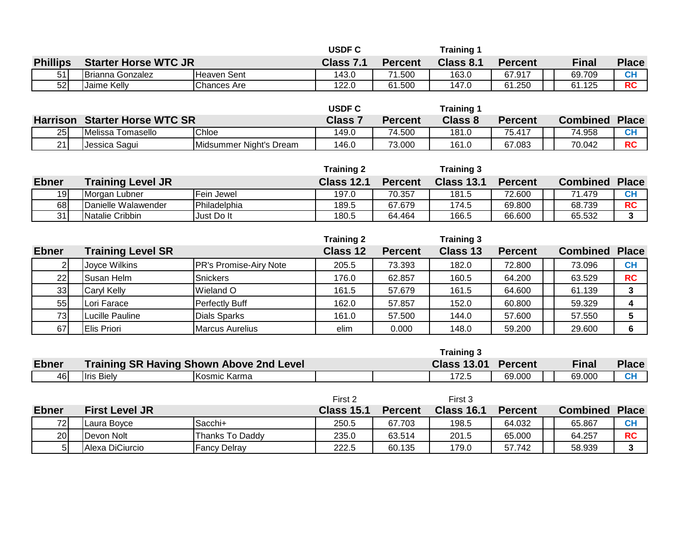|                 |                             |              | <b>USDF C</b> |                | Training $\cdot$ |                |        |              |
|-----------------|-----------------------------|--------------|---------------|----------------|------------------|----------------|--------|--------------|
| <b>Phillips</b> | <b>Starter Horse WTC JR</b> |              | Class 7.1     | <b>Percent</b> | Class 8.1        | <b>Percent</b> | Final  | Place        |
| 51              | Brianna Gonzalez            | IHeaven Sent | 143.0         | .500           | 163.0            | 67.917         | 69.709 | $\sim$<br>vп |
| 52              | Jaime Kelly                 | Chances Are  | 122.0         | 61.500         | 147.0            | 61.250         | 61.125 | <b>RC</b>    |

|    |                                      |                         | <b>USDF C</b>  |                | Training 1     |                |                 |              |
|----|--------------------------------------|-------------------------|----------------|----------------|----------------|----------------|-----------------|--------------|
|    | <b>Harrison Starter Horse WTC SR</b> |                         | <b>Class 7</b> | <b>Percent</b> | <b>Class 8</b> | <b>Percent</b> | <b>Combined</b> | Place        |
| 25 | IMelissa Tomasello                   | Chloe                   | 149.0          | 74.500         | 181.0          | 75.417         | 74.958          | $\sim$<br>vп |
| 21 | Jessica Sagui                        | Midsummer Night's Dream | 146.0          | 73.000         | 161.0          | 67.083         | 70.042          | <b>RC</b>    |

|              |                          |                      | <b>Training 2</b> |                | <b>Training 3</b> |                |                 |              |
|--------------|--------------------------|----------------------|-------------------|----------------|-------------------|----------------|-----------------|--------------|
| <b>Ebner</b> | <b>Training Level JR</b> |                      | <b>Class 12.1</b> | <b>Percent</b> | <b>Class 13.1</b> | <b>Percent</b> | <b>Combined</b> | <b>Place</b> |
| 19           | IMorgan Lubner           | Fein Jewel           | 197.0             | 70.357         | 181.5             | 72.600         | 71.479          | CF           |
| 68           | Danielle Walawender      | <b>IPhiladelphia</b> | 189.5             | 67.679         | 174.5             | 69.800         | 68.739          | <b>RC</b>    |
| 31           | <b>Natalie Cribbin</b>   | Just Do It           | 180.5             | 64.464         | 166.5             | 66.600         | 65.532          | ◠            |

|                 |                          |                               | <b>Training 2</b> |                | <b>Training 3</b> |                |                       |           |
|-----------------|--------------------------|-------------------------------|-------------------|----------------|-------------------|----------------|-----------------------|-----------|
| <b>Ebner</b>    | <b>Training Level SR</b> |                               | Class 12          | <b>Percent</b> | Class 13          | <b>Percent</b> | <b>Combined Place</b> |           |
|                 | Joyce Wilkins            | <b>PR's Promise-Airy Note</b> | 205.5             | 73.393         | 182.0             | 72.800         | 73.096                | <b>CH</b> |
| 22              | Susan Helm               | Snickers                      | 176.0             | 62.857         | 160.5             | 64.200         | 63.529                | <b>RC</b> |
| 33 <sup>1</sup> | Caryl Kelly              | Wieland O                     | 161.5             | 57.679         | 161.5             | 64.600         | 61.139                | 3         |
| 55              | Lori Farace              | Perfectly Buff                | 162.0             | 57.857         | 152.0             | 60.800         | 59.329                | 4         |
| 73              | Lucille Pauline          | Dials Sparks                  | 161.0             | 57.500         | 144.0             | 57.600         | 57.550                | 5         |
| 67              | Elis Priori              | <b>Marcus Aurelius</b>        | elim              | 0.000          | 148.0             | 59.200         | 29.600                | 6         |

|              |                       |                                                 |                   |          | <b>Training 3</b>  |                |                       |              |
|--------------|-----------------------|-------------------------------------------------|-------------------|----------|--------------------|----------------|-----------------------|--------------|
| <b>Ebner</b> |                       | <b>Training SR Having Shown Above 2nd Level</b> |                   |          | <b>Class 13.01</b> | <b>Percent</b> | Final                 | <b>Place</b> |
| 46           | <b>Ilris Bielv</b>    | <b>I</b> Kosmic Karma                           |                   |          | 172.5              | 69.000         | 69,000                | <b>CH</b>    |
|              |                       |                                                 |                   |          |                    |                |                       |              |
|              |                       |                                                 | First 2           |          | First 3            |                |                       |              |
| <b>Ebner</b> | <b>First Level JR</b> |                                                 | <b>Class 15.1</b> | ⊺Percent | <b>Class 16.1</b>  | <b>Percent</b> | <b>Combined Place</b> |              |
|              |                       |                                                 |                   |          |                    |                |                       |              |

72**| |**Laura Boyce |Sacchi+ | 250.5 | 67.703 | 198.5 | 64.032 | | 65.867 | CH 20 Devon Nolt Thanks To Daddy 235.0 63.514 201.5 65.000 64.257 **RC** 5 Alexa DiCiurcio Fancy Delray 222.5 60.135 179.0 57.742 58.939 **3**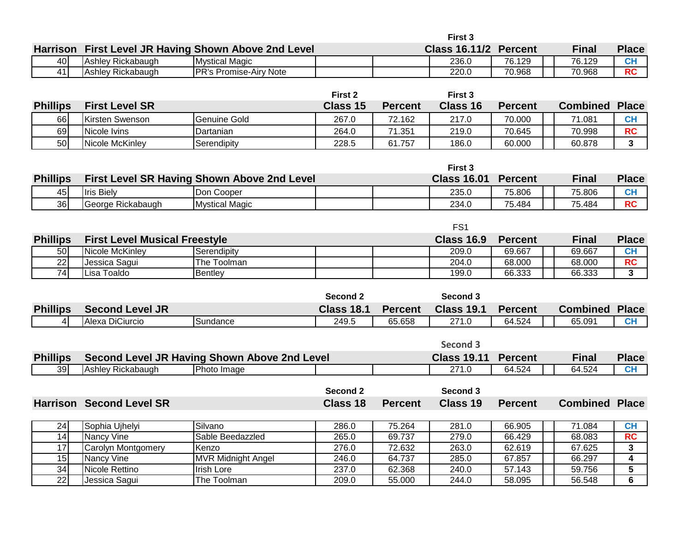|                 |                                      |                                                     |                   |                  | First 3              |                  |                       |                              |
|-----------------|--------------------------------------|-----------------------------------------------------|-------------------|------------------|----------------------|------------------|-----------------------|------------------------------|
| <b>Harrison</b> |                                      | First Level JR Having Shown Above 2nd Level         |                   |                  | <b>Class 16.11/2</b> | <b>Percent</b>   | <b>Final</b>          | <b>Place</b>                 |
| 40              | Ashley Rickabaugh                    | <b>Mystical Magic</b>                               |                   |                  | 236.0                | 76.129           | 76.129                | <b>CH</b>                    |
| 41              | Ashley Rickabaugh                    | PR's Promise-Airy Note                              |                   |                  | 220.0                | 70.968           | 70.968                | $\overline{RC}$              |
|                 |                                      |                                                     |                   |                  |                      |                  |                       |                              |
|                 |                                      |                                                     | First 2           |                  | First 3              |                  |                       |                              |
| <b>Phillips</b> | <b>First Level SR</b>                |                                                     | <b>Class 15</b>   | <b>Percent</b>   | <b>Class 16</b>      | <b>Percent</b>   | <b>Combined</b>       | <b>Place</b>                 |
| 66              | <b>Kirsten Swenson</b>               | <b>Genuine Gold</b>                                 | 267.0             | 72.162           | 217.0                | 70.000           | 71.081                | <b>CH</b>                    |
| 69              | Nicole Ivins                         | Dartanian                                           | 264.0             | 71.351           | 219.0                | 70.645           | 70.998                | <b>RC</b>                    |
| 50              | Nicole McKinley                      | Serendipity                                         | 228.5             | 61.757           | 186.0                | 60.000           | 60.878                | $\mathbf{3}$                 |
|                 |                                      |                                                     |                   |                  |                      |                  |                       |                              |
|                 |                                      |                                                     |                   |                  | First 3              |                  |                       |                              |
| <b>Phillips</b> |                                      | First Level SR Having Shown Above 2nd Level         |                   |                  | <b>Class 16.01</b>   | <b>Percent</b>   | <b>Final</b>          | <b>Place</b>                 |
| 45              | <b>Iris Biely</b>                    | Don Cooper                                          |                   |                  | 235.0                | 75.806           | 75.806                | CH                           |
| 36              | George Rickabaugh                    | <b>Mystical Magic</b>                               |                   |                  | 234.0                | 75.484           | 75.484                | <b>RC</b>                    |
|                 |                                      |                                                     |                   |                  |                      |                  |                       |                              |
|                 |                                      |                                                     |                   |                  | FS <sub>1</sub>      |                  |                       |                              |
| <b>Phillips</b> | <b>First Level Musical Freestyle</b> |                                                     |                   |                  | <b>Class 16.9</b>    | <b>Percent</b>   | <b>Final</b>          | <b>Place</b>                 |
| 50              | Nicole McKinley                      | Serendipity                                         |                   |                  | 209.0                | 69.667           | 69.667                | CH                           |
| $\overline{22}$ | Jessica Sagui                        | The Toolman                                         |                   |                  | 204.0                | 68.000           | 68.000                | <b>RC</b>                    |
| $\overline{74}$ | Lisa Toaldo                          | <b>Bentley</b>                                      |                   |                  | 199.0                | 66.333           | 66.333                | $\mathbf{3}$                 |
|                 |                                      |                                                     |                   |                  |                      |                  |                       |                              |
|                 |                                      |                                                     | Second 2          |                  | Second 3             |                  |                       |                              |
| <b>Phillips</b> | <b>Second Level JR</b>               |                                                     | <b>Class 18.1</b> | <b>Percent</b>   | <b>Class 19.1</b>    | <b>Percent</b>   | <b>Combined</b>       | <b>Place</b>                 |
| $\overline{4}$  | Alexa DiCiurcio                      | Sundance                                            | 249.5             | 65.658           | 271.0                | 64.524           | 65.091                | CH                           |
|                 |                                      |                                                     |                   |                  |                      |                  |                       |                              |
|                 |                                      |                                                     |                   |                  | Second 3             |                  |                       |                              |
| <b>Phillips</b> |                                      | <b>Second Level JR Having Shown Above 2nd Level</b> |                   |                  | <b>Class 19.11</b>   | <b>Percent</b>   | <b>Final</b>          | <b>Place</b>                 |
| 39              | Ashley Rickabaugh                    | Photo Image                                         |                   |                  | 271.0                | 64.524           | 64.524                | CH                           |
|                 |                                      |                                                     |                   |                  |                      |                  |                       |                              |
|                 |                                      |                                                     | Second 2          |                  | Second 3             |                  |                       |                              |
|                 | <b>Harrison Second Level SR</b>      |                                                     | <b>Class 18</b>   | <b>Percent</b>   | <b>Class 19</b>      | <b>Percent</b>   | <b>Combined Place</b> |                              |
|                 |                                      |                                                     |                   |                  |                      |                  |                       |                              |
| 24<br>14        | Sophia Ujhelyi<br><b>Nancy Vine</b>  | Silvano<br>Sable Beedazzled                         | 286.0<br>265.0    | 75.264<br>69.737 | 281.0<br>279.0       | 66.905<br>66.429 | 71.084<br>68.083      | <b>CH</b><br>$\overline{RC}$ |
| $\overline{17}$ | Carolyn Montgomery                   | Kenzo                                               | 276.0             | 72.632           | 263.0                | 62.619           | 67.625                | 3                            |
| 15              | <b>Nancy Vine</b>                    | <b>MVR Midnight Angel</b>                           | 246.0             | 64.737           | 285.0                | 67.857           | 66.297                | $\overline{\mathbf{4}}$      |
| $\overline{34}$ | Nicole Rettino                       | <b>Irish Lore</b>                                   | 237.0             | 62.368           | 240.0                | 57.143           | 59.756                | 5                            |
| 22              | Jessica Sagui                        | The Toolman                                         | 209.0             | 55.000           | 244.0                | 58.095           | 56.548                | 6                            |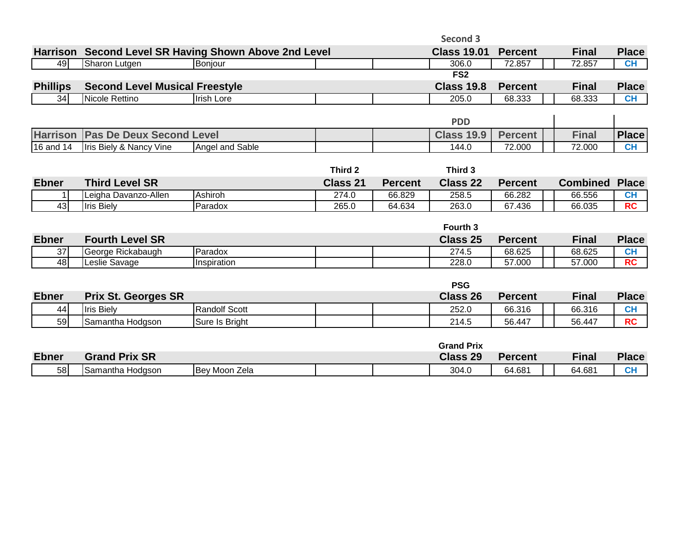|                 |                                       |                                                       |                 |                | Second 3           |                |                 |              |
|-----------------|---------------------------------------|-------------------------------------------------------|-----------------|----------------|--------------------|----------------|-----------------|--------------|
|                 |                                       | Harrison Second Level SR Having Shown Above 2nd Level |                 |                | <b>Class 19.01</b> | <b>Percent</b> | <b>Final</b>    | <b>Place</b> |
| 49              | Sharon Lutgen                         | Bonjour                                               |                 |                | 306.0              | 72.857         | 72.857          | <b>CH</b>    |
|                 |                                       |                                                       |                 |                | FS <sub>2</sub>    |                |                 |              |
| <b>Phillips</b> | <b>Second Level Musical Freestyle</b> |                                                       |                 |                | <b>Class 19.8</b>  | <b>Percent</b> | <b>Final</b>    | <b>Place</b> |
| 34              | Nicole Rettino                        | <b>Irish Lore</b>                                     |                 |                | 205.0              | 68.333         | 68.333          | CH           |
|                 |                                       |                                                       |                 |                |                    |                |                 |              |
|                 |                                       |                                                       |                 |                | <b>PDD</b>         |                |                 |              |
| <b>Harrison</b> | <b>Pas De Deux Second Level</b>       |                                                       |                 |                | <b>Class 19.9</b>  | <b>Percent</b> | <b>Final</b>    | <b>Place</b> |
| 16 and 14       | <b>Iris Biely &amp; Nancy Vine</b>    | Angel and Sable                                       |                 |                | 144.0              | 72.000         | 72.000          | <b>CH</b>    |
|                 |                                       |                                                       |                 |                |                    |                |                 |              |
|                 |                                       |                                                       | Third 2         |                | Third 3            |                |                 |              |
| <b>Ebner</b>    | <b>Third Level SR</b>                 |                                                       | <b>Class 21</b> | <b>Percent</b> | <b>Class 22</b>    | <b>Percent</b> | <b>Combined</b> | <b>Place</b> |
|                 | Leigha Davanzo-Allen                  | Ashiroh                                               | 274.0           | 66.829         | 258.5              | 66.282         | 66.556          | <b>CH</b>    |
| 43              | <b>Iris Biely</b>                     | Paradox                                               | 265.0           | 64.634         | 263.0              | 67.436         | 66.035          | <b>RC</b>    |
|                 |                                       |                                                       |                 |                |                    |                |                 |              |
|                 |                                       |                                                       |                 |                | Fourth 3           |                |                 |              |
| <b>Ebner</b>    | <b>Fourth Level SR</b>                |                                                       |                 |                | Class 25           | <b>Percent</b> | <b>Final</b>    | <b>Place</b> |
| 37              | George Rickabaugh                     | Paradox                                               |                 |                | 274.5              | 68.625         | 68.625          | CH           |
| $\overline{48}$ | Leslie Savage                         | Inspiration                                           |                 |                | 228.0              | 57.000         | 57.000          | <b>RC</b>    |
|                 |                                       |                                                       |                 |                |                    |                |                 |              |
|                 |                                       |                                                       |                 |                | <b>PSG</b>         |                |                 |              |
| <b>Ebner</b>    | <b>Prix St. Georges SR</b>            |                                                       |                 |                | <b>Class 26</b>    | <b>Percent</b> | <b>Final</b>    | <b>Place</b> |
| 44              | <b>Iris Biely</b>                     | <b>Randolf Scott</b>                                  |                 |                | 252.0              | 66.316         | 66.316          | <b>CH</b>    |
| 59              | Samantha Hodgson                      | Sure Is Bright                                        |                 |                | 214.5              | 56.447         | 56.447          | <b>RC</b>    |
|                 |                                       |                                                       |                 |                |                    |                |                 |              |
|                 |                                       |                                                       |                 |                | <b>Grand Prix</b>  |                |                 |              |
| <b>Ebner</b>    | <b>Grand Prix SR</b>                  |                                                       |                 |                | <b>Class 29</b>    | <b>Percent</b> | <b>Final</b>    | <b>Place</b> |
| 58              | Samantha Hodgson                      | Bey Moon Zela                                         |                 |                | 304.0              | 64.681         | 64.681          | <b>CH</b>    |